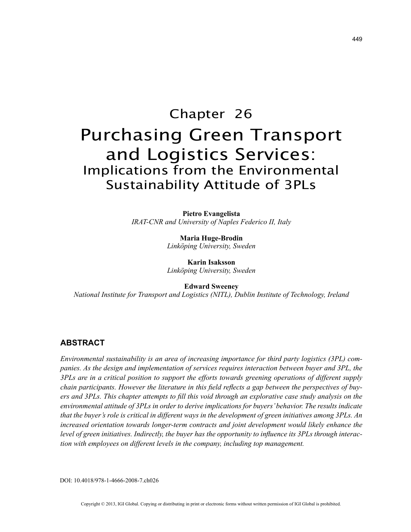# Chapter 26 Purchasing Green Transport and Logistics Services: Implications from the Environmental Sustainability Attitude of 3PLs

**Pietro Evangelista** *IRAT-CNR and University of Naples Federico II, Italy*

> **Maria Huge-Brodin** *Linköping University, Sweden*

> **Karin Isaksson** *Linköping University, Sweden*

**Edward Sweeney** *National Institute for Transport and Logistics (NITL), Dublin Institute of Technology, Ireland*

# **ABSTRACT**

*Environmental sustainability is an area of increasing importance for third party logistics (3PL) companies. As the design and implementation of services requires interaction between buyer and 3PL, the 3PLs are in a critical position to support the efforts towards greening operations of different supply chain participants. However the literature in this field reflects a gap between the perspectives of buyers and 3PLs. This chapter attempts to fill this void through an explorative case study analysis on the environmental attitude of 3PLs in order to derive implications for buyers' behavior. The results indicate that the buyer's role is critical in different ways in the development of green initiatives among 3PLs. An*  increased orientation towards longer-term contracts and joint development would likely enhance the *level of green initiatives. Indirectly, the buyer has the opportunity to influence its 3PLs through interaction with employees on different levels in the company, including top management.*

DOI: 10.4018/978-1-4666-2008-7.ch026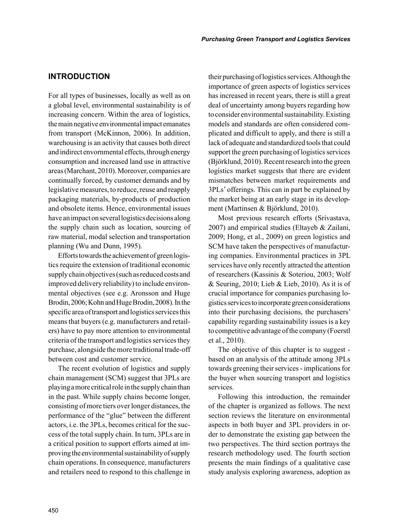## **INTRODUCTION**

For all types of businesses, locally as well as on a global level, environmental sustainability is of increasing concern. Within the area of logistics, the main negative environmental impact emanates from transport (McKinnon, 2006). In addition, warehousing is an activity that causes both direct and indirect envornmental effects, through energy consumption and increased land use in attractive areas (Marchant, 2010). Moreover, companies are continually forced, by customer demands and by legislative measures, to reduce, reuse and reapply packaging materials, by-products of production and obsolete items. Hence, environmental issues have an impact on several logistics decisions along the supply chain such as location, sourcing of raw material, modal selection and transportation planning (Wu and Dunn, 1995).

Efforts towards the achievement of green logistics require the extension of traditional economic supply chain objectives (such as reduced costs and improved delivery reliability) to include environmental objectives (see e.g. Aronsson and Huge Brodin, 2006; Kohn and Huge Brodin, 2008). In the specific area of transport and logistics services this means that buyers (e.g. manufacturers and retailers) have to pay more attention to environmental criteria of the transport and logistics services they purchase, alongside the more traditional trade-off between cost and customer service.

The recent evolution of logistics and supply chain management (SCM) suggest that 3PLs are playing a more critical role in the supply chain than in the past. While supply chains become longer, consisting of more tiers over longer distances, the performance of the "glue" between the different actors, i.e. the 3PLs, becomes critical for the success of the total supply chain. In turn, 3PLs are in a critical position to support efforts aimed at improving the environmental sustainability of supply chain operations. In consequence, manufacturers and retailers need to respond to this challenge in their purchasing of logistics services. Although the importance of green aspects of logistics services has increased in recent years, there is still a great deal of uncertainty among buyers regarding how to consider environmental sustainability. Existing models and standards are often considered complicated and difficult to apply, and there is still a lack of adequate and standardized tools that could support the green purchasing of logistics services (Björklund, 2010). Recent research into the green logistics market suggests that there are evident mismatches between market requirements and 3PLs' offerings. This can in part be explained by the market being at an early stage in its development (Martinsen & Björklund, 2010).

Most previous research efforts (Srivastava, 2007) and empirical studies (Eltayeb & Zailani, 2009; Hong, et al., 2009) on green logistics and SCM have taken the perspectives of manufacturing companies. Environmental practices in 3PL services have only recently attracted the attention of researchers (Kassinis & Soteriou, 2003; Wolf & Seuring, 2010; Lieb & Lieb, 2010). As it is of crucial importance for companies purchasing logistics services to incorporate green considerations into their purchasing decisions, the purchasers' capability regarding sustainability issues is a key to competitive advantage of the company (Foerstl et al., 2010).

The objective of this chapter is to suggest based on an analysis of the attitude among 3PLs towards greening their services - implications for the buyer when sourcing transport and logistics services.

Following this introduction, the remainder of the chapter is organized as follows. The next section reviews the literature on environmental aspects in both buyer and 3PL providers in order to demonstrate the existing gap between the two perspectives. The third section portrays the research methodology used. The fourth section presents the main findings of a qualitative case study analysis exploring awareness, adoption as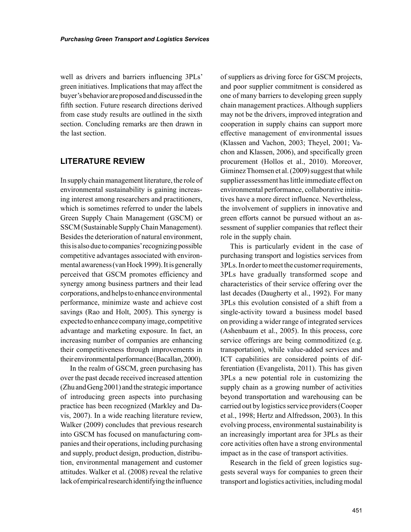well as drivers and barriers influencing 3PLs' green initiatives. Implications that may affect the buyer's behavior are proposed and discussed in the fifth section. Future research directions derived from case study results are outlined in the sixth section. Concluding remarks are then drawn in the last section.

## **LITERATURE REVIEW**

In supply chain management literature, the role of environmental sustainability is gaining increasing interest among researchers and practitioners, which is sometimes referred to under the labels Green Supply Chain Management (GSCM) or SSCM (Sustainable Supply Chain Management). Besides the deterioration of natural environment, this is also due to companies' recognizing possible competitive advantages associated with environmental awareness (van Hoek 1999). It is generally perceived that GSCM promotes efficiency and synergy among business partners and their lead corporations, and helps to enhance environmental performance, minimize waste and achieve cost savings (Rao and Holt, 2005). This synergy is expected to enhance company image, competitive advantage and marketing exposure. In fact, an increasing number of companies are enhancing their competitiveness through improvements in their environmental performance (Bacallan, 2000).

In the realm of GSCM, green purchasing has over the past decade received increased attention (Zhu and Geng 2001) and the strategic importance of introducing green aspects into purchasing practice has been recognized (Markley and Davis, 2007). In a wide reaching literature review, Walker (2009) concludes that previous research into GSCM has focused on manufacturing companies and their operations, including purchasing and supply, product design, production, distribution, environmental management and customer attitudes. Walker et al. (2008) reveal the relative lack of empirical research identifying the influence

of suppliers as driving force for GSCM projects, and poor supplier commitment is considered as one of many barriers to developing green supply chain management practices. Although suppliers may not be the drivers, improved integration and cooperation in supply chains can support more effective management of environmental issues (Klassen and Vachon, 2003; Theyel, 2001; Vachon and Klassen, 2006), and specifically green procurement (Hollos et al., 2010). Moreover, Giminez Thomsen et al. (2009) suggest that while supplier assessment has little immediate effect on environmental performance, collaborative initiatives have a more direct influence. Nevertheless, the involvement of suppliers in innovative and green efforts cannot be pursued without an assessment of supplier companies that reflect their role in the supply chain.

This is particularly evident in the case of purchasing transport and logistics services from 3PLs. In order to meet the customer requirements, 3PLs have gradually transformed scope and characteristics of their service offering over the last decades (Daugherty et al., 1992). For many 3PLs this evolution consisted of a shift from a single-activity toward a business model based on providing a wider range of integrated services (Ashenbaum et al., 2005). In this process, core service offerings are being commoditized (e.g. transportation), while value-added services and ICT capabilities are considered points of differentiation (Evangelista, 2011). This has given 3PLs a new potential role in customizing the supply chain as a growing number of activities beyond transportation and warehousing can be carried out by logistics service providers (Cooper et al., 1998; Hertz and Alfredsson, 2003). In this evolving process, environmental sustainability is an increasingly important area for 3PLs as their core activities often have a strong environmental impact as in the case of transport activities.

Research in the field of green logistics suggests several ways for companies to green their transport and logistics activities, including modal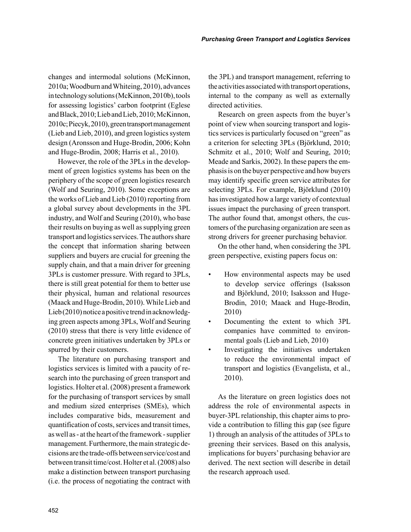changes and intermodal solutions (McKinnon, 2010a; Woodburn and Whiteing, 2010), advances in technology solutions (McKinnon, 2010b), tools for assessing logistics' carbon footprint (Eglese and Black, 2010; Lieb and Lieb, 2010; McKinnon, 2010c; Piecyk, 2010), green transport management (Lieb and Lieb, 2010), and green logistics system design (Aronsson and Huge-Brodin, 2006; Kohn and Huge-Brodin, 2008; Harris et al., 2010).

However, the role of the 3PLs in the development of green logistics systems has been on the periphery of the scope of green logistics research (Wolf and Seuring, 2010). Some exceptions are the works of Lieb and Lieb (2010) reporting from a global survey about developments in the 3PL industry, and Wolf and Seuring (2010), who base their results on buying as well as supplying green transport and logistics services. The authors share the concept that information sharing between suppliers and buyers are crucial for greening the supply chain, and that a main driver for greening 3PLs is customer pressure. With regard to 3PLs, there is still great potential for them to better use their physical, human and relational resources (Maack and Huge-Brodin, 2010). While Lieb and Lieb (2010) notice a positive trend in acknowledging green aspects among 3PLs, Wolf and Seuring (2010) stress that there is very little evidence of concrete green initiatives undertaken by 3PLs or spurred by their customers.

The literature on purchasing transport and logistics services is limited with a paucity of research into the purchasing of green transport and logistics. Holter et al. (2008) present a framework for the purchasing of transport services by small and medium sized enterprises (SMEs), which includes comparative bids, measurement and quantification of costs, services and transit times, as well as - at the heart of the framework - supplier management. Furthermore, the main strategic decisions are the trade-offs between service/cost and between transit time/cost. Holter et al. (2008) also make a distinction between transport purchasing (i.e. the process of negotiating the contract with the 3PL) and transport management, referring to the activities associated with transport operations, internal to the company as well as externally directed activities.

Research on green aspects from the buyer's point of view when sourcing transport and logistics services is particularly focused on "green" as a criterion for selecting 3PLs (Björklund, 2010; Schmitz et al., 2010; Wolf and Seuring, 2010; Meade and Sarkis, 2002). In these papers the emphasis is on the buyer perspective and how buyers may identify specific green service attributes for selecting 3PLs. For example, Björklund (2010) has investigated how a large variety of contextual issues impact the purchasing of green transport. The author found that, amongst others, the customers of the purchasing organization are seen as strong drivers for greener purchasing behavior.

On the other hand, when considering the 3PL green perspective, existing papers focus on:

- How environmental aspects may be used to develop service offerings (Isaksson and Björklund, 2010; Isaksson and Huge-Brodin, 2010; Maack and Huge-Brodin, 2010)
- Documenting the extent to which 3PL companies have committed to environmental goals (Lieb and Lieb, 2010)
- Investigating the initiatives undertaken to reduce the environmental impact of transport and logistics (Evangelista, et al., 2010).

As the literature on green logistics does not address the role of environmental aspects in buyer-3PL relationship, this chapter aims to provide a contribution to filling this gap (see figure 1) through an analysis of the attitudes of 3PLs to greening their services. Based on this analysis, implications for buyers' purchasing behavior are derived. The next section will describe in detail the research approach used.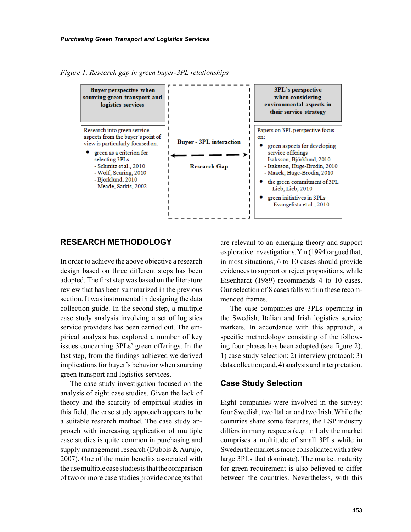*Figure 1. Research gap in green buyer-3PL relationships*



### **RESEARCH METHODOLOGY**

In order to achieve the above objective a research design based on three different steps has been adopted. The first step was based on the literature review that has been summarized in the previous section. It was instrumental in designing the data collection guide. In the second step, a multiple case study analysis involving a set of logistics service providers has been carried out. The empirical analysis has explored a number of key issues concerning 3PLs' green offerings. In the last step, from the findings achieved we derived implications for buyer's behavior when sourcing green transport and logistics services.

The case study investigation focused on the analysis of eight case studies. Given the lack of theory and the scarcity of empirical studies in this field, the case study approach appears to be a suitable research method. The case study approach with increasing application of multiple case studies is quite common in purchasing and supply management research (Dubois & Aurujo, 2007). One of the main benefits associated with the use multiple case studies is that the comparison of two or more case studies provide concepts that are relevant to an emerging theory and support explorative investigations. Yin (1994) argued that, in most situations, 6 to 10 cases should provide evidences to support or reject propositions, while Eisenhardt (1989) recommends 4 to 10 cases. Our selection of 8 cases falls within these recommended frames.

The case companies are 3PLs operating in the Swedish, Italian and Irish logistics service markets. In accordance with this approach, a specific methodology consisting of the following four phases has been adopted (see figure 2), 1) case study selection; 2) interview protocol; 3) data collection; and, 4) analysis and interpretation.

#### **Case Study Selection**

Eight companies were involved in the survey: four Swedish, two Italian and two Irish. While the countries share some features, the LSP industry differs in many respects (e.g. in Italy the market comprises a multitude of small 3PLs while in Sweden the market is more consolidated with a few large 3PLs that dominate). The market maturity for green requirement is also believed to differ between the countries. Nevertheless, with this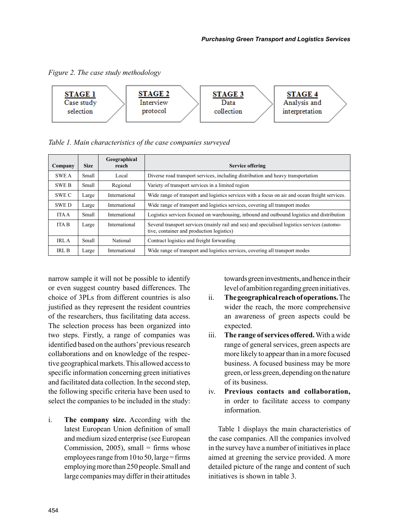*Figure 2. The case study methodology*



*Table 1. Main characteristics of the case companies surveyed* 

| Company      | <b>Size</b> | Geographical<br>reach | <b>Service offering</b>                                                                                                                   |  |
|--------------|-------------|-----------------------|-------------------------------------------------------------------------------------------------------------------------------------------|--|
| <b>SWEA</b>  | Small       | Local                 | Diverse road transport services, including distribution and heavy transportation                                                          |  |
| <b>SWE B</b> | Small       | Regional              | Variety of transport services in a limited region                                                                                         |  |
| SWE C        | Large       | International         | Wide range of transport and logistics services with a focus on air and ocean freight services.                                            |  |
| <b>SWED</b>  | Large       | International         | Wide range of transport and logistics services, covering all transport modes                                                              |  |
| <b>ITA A</b> | Small       | International         | Logistics services focused on warehousing, inbound and outbound logistics and distribution                                                |  |
| <b>ITA B</b> | Large       | International         | Several transport services (mainly rail and sea) and specialised logistics services (automo-<br>tive, container and production logistics) |  |
| IRL A        | Small       | National              | Contract logistics and freight forwarding                                                                                                 |  |
| IRL B        | Large       | International         | Wide range of transport and logistics services, covering all transport modes                                                              |  |

narrow sample it will not be possible to identify or even suggest country based differences. The choice of 3PLs from different countries is also justified as they represent the resident countries of the researchers, thus facilitating data access. The selection process has been organized into two steps. Firstly, a range of companies was identified based on the authors' previous research collaborations and on knowledge of the respective geographical markets. This allowed access to specific information concerning green initiatives and facilitated data collection. In the second step, the following specific criteria have been used to select the companies to be included in the study:

i. **The company size.** According with the latest European Union definition of small and medium sized enterprise (see European Commission,  $2005$ ), small = firms whose employees range from  $10$  to  $50$ , large = firms employing more than 250 people. Small and large companies may differ in their attitudes

towards green investments, and hence in their level of ambition regarding green initiatives.

- ii. **The geographical reach of operations.** The wider the reach, the more comprehensive an awareness of green aspects could be expected.
- iii. **The range of services offered.** With a wide range of general services, green aspects are more likely to appear than in a more focused business. A focused business may be more green, or less green, depending on the nature of its business.
- iv. **Previous contacts and collaboration,** in order to facilitate access to company information.

Table 1 displays the main characteristics of the case companies. All the companies involved in the survey have a number of initiatives in place aimed at greening the service provided. A more detailed picture of the range and content of such initiatives is shown in table 3.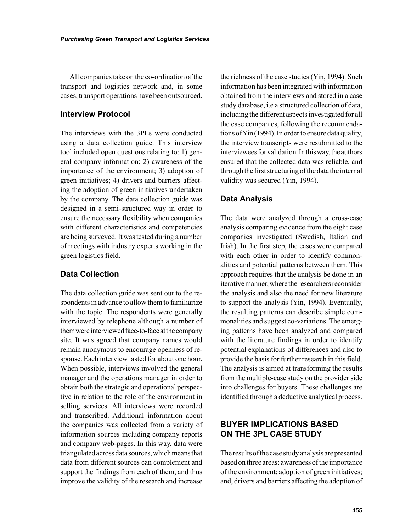All companies take on the co-ordination of the transport and logistics network and, in some cases, transport operations have been outsourced.

## **Interview Protocol**

The interviews with the 3PLs were conducted using a data collection guide. This interview tool included open questions relating to: 1) general company information; 2) awareness of the importance of the environment; 3) adoption of green initiatives; 4) drivers and barriers affecting the adoption of green initiatives undertaken by the company. The data collection guide was designed in a semi-structured way in order to ensure the necessary flexibility when companies with different characteristics and competencies are being surveyed. It was tested during a number of meetings with industry experts working in the green logistics field.

# **Data Collection**

The data collection guide was sent out to the respondents in advance to allow them to familiarize with the topic. The respondents were generally interviewed by telephone although a number of them were interviewed face-to-face at the company site. It was agreed that company names would remain anonymous to encourage openness of response. Each interview lasted for about one hour. When possible, interviews involved the general manager and the operations manager in order to obtain both the strategic and operational perspective in relation to the role of the environment in selling services. All interviews were recorded and transcribed. Additional information about the companies was collected from a variety of information sources including company reports and company web-pages. In this way, data were triangulated across data sources, which means that data from different sources can complement and support the findings from each of them, and thus improve the validity of the research and increase

the richness of the case studies (Yin, 1994). Such information has been integrated with information obtained from the interviews and stored in a case study database, i.e a structured collection of data, including the different aspects investigated for all the case companies, following the recommendations of Yin (1994). In order to ensure data quality, the interview transcripts were resubmitted to the interviewees for validation. In this way, the authors ensured that the collected data was reliable, and through the first structuring of the data the internal validity was secured (Yin, 1994).

# **Data Analysis**

The data were analyzed through a cross-case analysis comparing evidence from the eight case companies investigated (Swedish, Italian and Irish). In the first step, the cases were compared with each other in order to identify commonalities and potential patterns between them. This approach requires that the analysis be done in an iterative manner, where the researchers reconsider the analysis and also the need for new literature to support the analysis (Yin, 1994). Eventually, the resulting patterns can describe simple commonalities and suggest co-variations. The emerging patterns have been analyzed and compared with the literature findings in order to identify potential explanations of differences and also to provide the basis for further research in this field. The analysis is aimed at transforming the results from the multiple-case study on the provider side into challenges for buyers. These challenges are identified through a deductive analytical process.

# **BUYER IMPLICATIONS BASED ON THE 3PL CASE STUDY**

The results of the case study analysis are presented based on three areas: awareness of the importance of the environment; adoption of green initiatives; and, drivers and barriers affecting the adoption of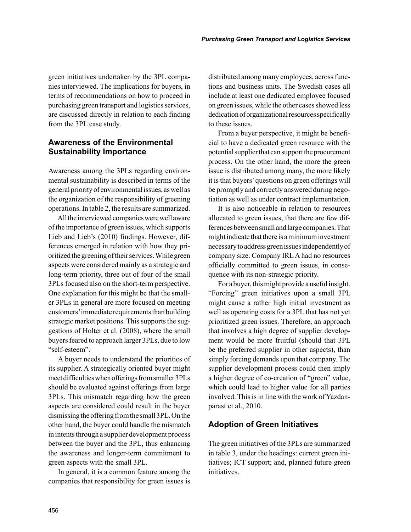green initiatives undertaken by the 3PL companies interviewed. The implications for buyers, in terms of recommendations on how to proceed in purchasing green transport and logistics services, are discussed directly in relation to each finding from the 3PL case study.

# **Awareness of the Environmental Sustainability Importance**

Awareness among the 3PLs regarding environmental sustainability is described in terms of the general priority of environmental issues, as well as the organization of the responsibility of greening operations. In table 2, the results are summarized.

All the interviewed companies were well aware of the importance of green issues, which supports Lieb and Lieb's (2010) findings. However, differences emerged in relation with how they prioritized the greening of their services. While green aspects were considered mainly as a strategic and long-term priority, three out of four of the small 3PLs focused also on the short-term perspective. One explanation for this might be that the smaller 3PLs in general are more focused on meeting customers' immediate requirements than building strategic market positions. This supports the suggestions of Holter et al. (2008), where the small buyers feared to approach larger 3PLs, due to low "self-esteem".

A buyer needs to understand the priorities of its supplier. A strategically oriented buyer might meet difficulties when offerings from smaller 3PLs should be evaluated against offerings from large 3PLs. This mismatch regarding how the green aspects are considered could result in the buyer dismissing the offering from the small 3PL. On the other hand, the buyer could handle the mismatch in intents through a supplier development process between the buyer and the 3PL, thus enhancing the awareness and longer-term commitment to green aspects with the small 3PL.

In general, it is a common feature among the companies that responsibility for green issues is distributed among many employees, across functions and business units. The Swedish cases all include at least one dedicated employee focused on green issues, while the other cases showed less dedication of organizational resources specifically to these issues.

From a buyer perspective, it might be beneficial to have a dedicated green resource with the potential supplier that can support the procurement process. On the other hand, the more the green issue is distributed among many, the more likely it is that buyers' questions on green offerings will be promptly and correctly answered during negotiation as well as under contract implementation.

It is also noticeable in relation to resources allocated to green issues, that there are few differences between small and large companies. That might indicate that there is a minimum investment necessary to address green issues independently of company size. Company IRL A had no resources officially committed to green issues, in consequence with its non-strategic priority.

For a buyer, this might provide a useful insight. "Forcing" green initiatives upon a small 3PL might cause a rather high initial investment as well as operating costs for a 3PL that has not yet prioritized green issues. Therefore, an approach that involves a high degree of supplier development would be more fruitful (should that 3PL be the preferred supplier in other aspects), than simply forcing demands upon that company. The supplier development process could then imply a higher degree of co-creation of "green" value, which could lead to higher value for all parties involved. This is in line with the work of Yazdanparast et al., 2010.

## **Adoption of Green Initiatives**

The green initiatives of the 3PLs are summarized in table 3, under the headings: current green initiatives; ICT support; and, planned future green initiatives.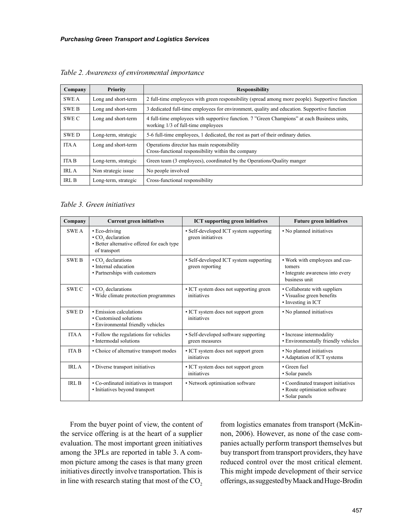| Company      | <b>Priority</b>                                                                                | <b>Responsibility</b>                                                                                                             |  |
|--------------|------------------------------------------------------------------------------------------------|-----------------------------------------------------------------------------------------------------------------------------------|--|
| <b>SWEA</b>  | Long and short-term                                                                            | 2 full-time employees with green responsibility (spread among more people). Supportive function                                   |  |
| <b>SWE B</b> | Long and short-term                                                                            | 3 dedicated full-time employees for environment, quality and education. Supportive function                                       |  |
| SWE C        | Long and short-term                                                                            | 4 full-time employees with supportive function. 7 "Green Champions" at each Business units,<br>working 1/3 of full-time employees |  |
| <b>SWED</b>  | Long-term, strategic                                                                           | 5-6 full-time employees, 1 dedicated, the rest as part of their ordinary duties.                                                  |  |
| <b>ITA A</b> | Long and short-term                                                                            | Operations director has main responsibility<br>Cross-functional responsibility within the company                                 |  |
| <b>ITA B</b> | Green team (3 employees), coordinated by the Operations/Quality manger<br>Long-term, strategic |                                                                                                                                   |  |
| <b>IRLA</b>  | Non strategic issue                                                                            | No people involved                                                                                                                |  |
| <b>IRL B</b> | Long-term, strategic                                                                           | Cross-functional responsibility                                                                                                   |  |

*Table 2. Awareness of environmental importance* 

*Table 3. Green initiatives* 

| Company      | <b>Current green initiatives</b>                                                                             | <b>ICT</b> supporting green initiatives                     | <b>Future green initiatives</b>                                                               |
|--------------|--------------------------------------------------------------------------------------------------------------|-------------------------------------------------------------|-----------------------------------------------------------------------------------------------|
| <b>SWEA</b>  | • Eco-driving<br>• CO <sub>2</sub> declaration<br>• Better alternative offered for each type<br>of transport | • Self-developed ICT system supporting<br>green initiatives | • No planned initiatives                                                                      |
| <b>SWE B</b> | $\cdot$ CO <sub>2</sub> declarations<br>• Internal education<br>• Partnerships with customers                | • Self-developed ICT system supporting<br>green reporting   | • Work with employees and cus-<br>tomers<br>• Integrate awareness into every<br>business unit |
| SWE C        | • CO <sub>2</sub> declarations<br>• Wide climate protection programmes                                       | • ICT system does not supporting green<br>initiatives       | • Collaborate with suppliers<br>• Visualise green benefits<br>• Investing in ICT              |
| <b>SWED</b>  | • Emission calculations<br>• Customised solutions<br>• Environmental friendly vehicles                       | • ICT system does not support green<br>initiatives          | • No planned initiatives                                                                      |
| <b>ITA A</b> | • Follow the regulations for vehicles<br>• Intermodal solutions                                              | • Self-developed software supporting<br>green measures      | · Increase intermodality<br>• Environmentally friendly vehicles                               |
| <b>ITA B</b> | • Choice of alternative transport modes                                                                      | • ICT system does not support green<br>initiatives          | • No planned initiatives<br>• Adaptation of ICT systems                                       |
| IRL A        | • Diverse transport initiatives                                                                              | • ICT system does not support green<br>initiatives          | • Green fuel<br>• Solar panels                                                                |
| <b>IRL B</b> | • Co-ordinated initiatives in transport<br>• Initiatives beyond transport                                    | • Network optimisation software                             | • Coordinated transport initiatives<br>• Route optimisation software<br>• Solar panels        |

From the buyer point of view, the content of the service offering is at the heart of a supplier evaluation. The most important green initiatives among the 3PLs are reported in table 3. A common picture among the cases is that many green initiatives directly involve transportation. This is in line with research stating that most of the CO<sub>2</sub> from logistics emanates from transport (McKinnon, 2006). However, as none of the case companies actually perform transport themselves but buy transport from transport providers, they have reduced control over the most critical element. This might impede development of their service offerings, as suggested by Maack and Huge-Brodin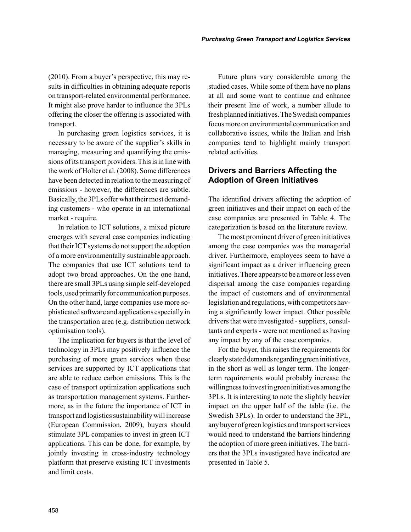(2010). From a buyer's perspective, this may results in difficulties in obtaining adequate reports on transport-related environmental performance. It might also prove harder to influence the 3PLs offering the closer the offering is associated with transport.

In purchasing green logistics services, it is necessary to be aware of the supplier's skills in managing, measuring and quantifying the emissions of its transport providers. This is in line with the work of Holter et al. (2008). Some differences have been detected in relation to the measuring of emissions - however, the differences are subtle. Basically, the 3PLs offer what their most demanding customers - who operate in an international market - require.

In relation to ICT solutions, a mixed picture emerges with several case companies indicating that their ICT systems do not support the adoption of a more environmentally sustainable approach. The companies that use ICT solutions tend to adopt two broad approaches. On the one hand, there are small 3PLs using simple self-developed tools, used primarily for communication purposes. On the other hand, large companies use more sophisticated software and applications especially in the transportation area (e.g. distribution network optimisation tools).

The implication for buyers is that the level of technology in 3PLs may positively influence the purchasing of more green services when these services are supported by ICT applications that are able to reduce carbon emissions. This is the case of transport optimization applications such as transportation management systems. Furthermore, as in the future the importance of ICT in transport and logistics sustainability will increase (European Commission, 2009), buyers should stimulate 3PL companies to invest in green ICT applications. This can be done, for example, by jointly investing in cross-industry technology platform that preserve existing ICT investments and limit costs.

Future plans vary considerable among the studied cases. While some of them have no plans at all and some want to continue and enhance their present line of work, a number allude to fresh planned initiatives. The Swedish companies focus more on environmental communication and collaborative issues, while the Italian and Irish companies tend to highlight mainly transport related activities.

# **Drivers and Barriers Affecting the Adoption of Green Initiatives**

The identified drivers affecting the adoption of green initiatives and their impact on each of the case companies are presented in Table 4. The categorization is based on the literature review.

The most prominent driver of green initiatives among the case companies was the managerial driver. Furthermore, employees seem to have a significant impact as a driver influencing green initiatives. There appears to be a more or less even dispersal among the case companies regarding the impact of customers and of environmental legislation and regulations, with competitors having a significantly lower impact. Other possible drivers that were investigated - suppliers, consultants and experts - were not mentioned as having any impact by any of the case companies.

For the buyer, this raises the requirements for clearly stated demands regarding green initiatives, in the short as well as longer term. The longerterm requirements would probably increase the willingness to invest in green initiatives among the 3PLs. It is interesting to note the slightly heavier impact on the upper half of the table (i.e. the Swedish 3PLs). In order to understand the 3PL, any buyer of green logistics and transport services would need to understand the barriers hindering the adoption of more green initiatives. The barriers that the 3PLs investigated have indicated are presented in Table 5.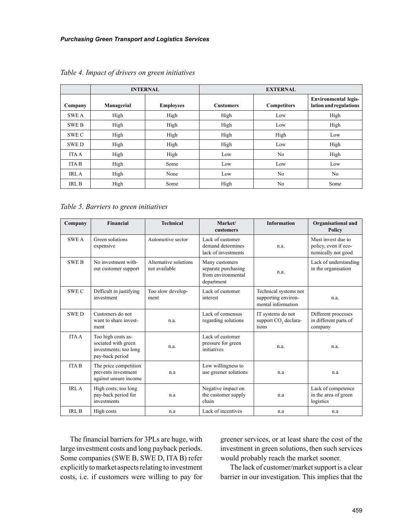|              |            | <b>INTERNAL</b>  | <b>EXTERNAL</b>  |                    |                                                       |
|--------------|------------|------------------|------------------|--------------------|-------------------------------------------------------|
| Company      | Managerial | <b>Employees</b> | <b>Customers</b> | <b>Competitors</b> | <b>Environmental legis-</b><br>lation and regulations |
| <b>SWE A</b> | High       | High             | High             | Low                | High                                                  |
| <b>SWE B</b> | High       | High             | High             | Low                | High                                                  |
| SWE C        | High       | High             | High             | High               | Low                                                   |
| <b>SWED</b>  | High       | High             | High             | Low                | High                                                  |
| <b>ITA A</b> | High       | High             | Low              | N <sub>0</sub>     | High                                                  |
| <b>ITAB</b>  | High       | Some             | Low              | Low                | Low                                                   |
| <b>IRLA</b>  | High       | None             | Low              | N <sub>0</sub>     | N <sub>0</sub>                                        |
| <b>IRL B</b> | High       | Some             | High             | N <sub>0</sub>     | Some                                                  |

*Table 4. Impact of drivers on green initiatives* 

*Table 5. Barriers to green initiatives* 

| Company          | Financial                                                                             | <b>Technical</b>                       | Market/<br>customers                                                      | <b>Information</b>                                                 | <b>Organisational and</b><br><b>Policy</b>                       |
|------------------|---------------------------------------------------------------------------------------|----------------------------------------|---------------------------------------------------------------------------|--------------------------------------------------------------------|------------------------------------------------------------------|
| <b>SWEA</b>      | Green solutions<br>expensive                                                          | Automotive sector                      | Lack of customer<br>demand determines<br>lack of investments              | n.a.                                                               | Must invest due to<br>policy, even if eco-<br>nomically not good |
| <b>SWE B</b>     | No investment with-<br>out customer support                                           | Alternative solutions<br>not available | Many customers<br>separate purchasing<br>from environmental<br>department | n.a.                                                               | Lack of understanding<br>in the organisation                     |
| <b>SWEC</b>      | Difficult in justifying<br>investment                                                 | Too slow develop-<br>ment              | Lack of customer<br>interest                                              | Technical systems not<br>supporting environ-<br>mental information | n.a.                                                             |
| <b>SWED</b>      | Customers do not<br>want to share invest-<br>ment                                     | n.a.                                   | Lack of consensus<br>regarding solutions                                  | IT systems do not<br>support CO <sub>2</sub> declara-<br>tions     | Different processes<br>in different parts of<br>company          |
| <b>ITA A</b>     | Too high costs as-<br>sociated with green<br>investments; too long<br>pay-back period | n.a.                                   | Lack of customer<br>pressure for green<br>initiatives                     | n.a.                                                               | n.a.                                                             |
| <b>ITA B</b>     | The price competition<br>prevents investment<br>against unsure income                 | n.a                                    | Low willingness to<br>use greener solutions                               | n.a                                                                | n.a                                                              |
| IRL A            | High costs; too long<br>pay-back period for<br>investments                            | n.a                                    | Negative impact on<br>the customer supply<br>chain                        | n.a                                                                | Lack of competence<br>in the area of green<br>logistics          |
| IRL <sub>B</sub> | High costs                                                                            | n.a                                    | Lack of incentives                                                        | n.a                                                                | n.a                                                              |

The financial barriers for 3PLs are huge, with large investment costs and long payback periods. Some companies (SWE B, SWE D, ITA B) refer explicitly to market aspects relating to investment costs, i.e. if customers were willing to pay for greener services, or at least share the cost of the investment in green solutions, then such services would probably reach the market sooner.

The lack of customer/market support is a clear barrier in our investigation. This implies that the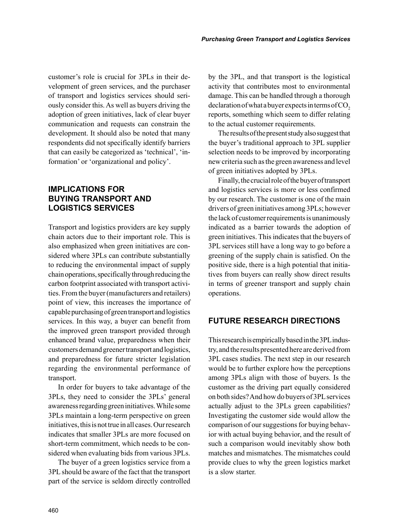customer's role is crucial for 3PLs in their development of green services, and the purchaser of transport and logistics services should seriously consider this. As well as buyers driving the adoption of green initiatives, lack of clear buyer communication and requests can constrain the development. It should also be noted that many respondents did not specifically identify barriers that can easily be categorized as 'technical', 'information' or 'organizational and policy'.

# **IMPLICATIONS FOR BUYING TRANSPORT AND LOGISTICS SERVICES**

Transport and logistics providers are key supply chain actors due to their important role. This is also emphasized when green initiatives are considered where 3PLs can contribute substantially to reducing the environmental impact of supply chain operations, specifically through reducing the carbon footprint associated with transport activities. From the buyer (manufacturers and retailers) point of view, this increases the importance of capable purchasing of green transport and logistics services. In this way, a buyer can benefit from the improved green transport provided through enhanced brand value, preparedness when their customers demand greener transport and logistics, and preparedness for future stricter legislation regarding the environmental performance of transport.

In order for buyers to take advantage of the 3PLs, they need to consider the 3PLs' general awareness regarding green initiatives. While some 3PLs maintain a long-term perspective on green initiatives, this is not true in all cases. Our research indicates that smaller 3PLs are more focused on short-term commitment, which needs to be considered when evaluating bids from various 3PLs.

The buyer of a green logistics service from a 3PL should be aware of the fact that the transport part of the service is seldom directly controlled by the 3PL, and that transport is the logistical activity that contributes most to environmental damage. This can be handled through a thorough  $declaration of what a buyer expects in terms of CO<sub>2</sub>$ reports, something which seem to differ relating to the actual customer requirements.

The results of the present study also suggest that the buyer's traditional approach to 3PL supplier selection needs to be improved by incorporating new criteria such as the green awareness and level of green initiatives adopted by 3PLs.

Finally, the crucial role of the buyer of transport and logistics services is more or less confirmed by our research. The customer is one of the main drivers of green initiatives among 3PLs; however the lack of customer requirements is unanimously indicated as a barrier towards the adoption of green initiatives. This indicates that the buyers of 3PL services still have a long way to go before a greening of the supply chain is satisfied. On the positive side, there is a high potential that initiatives from buyers can really show direct results in terms of greener transport and supply chain operations.

# **FUTURE RESEARCH DIRECTIONS**

This research is empirically based in the 3PL industry, and the results presented here are derived from 3PL cases studies. The next step in our research would be to further explore how the perceptions among 3PLs align with those of buyers. Is the customer as the driving part equally considered on both sides? And how do buyers of 3PL services actually adjust to the 3PLs green capabilities? Investigating the customer side would allow the comparison of our suggestions for buying behavior with actual buying behavior, and the result of such a comparison would inevitably show both matches and mismatches. The mismatches could provide clues to why the green logistics market is a slow starter.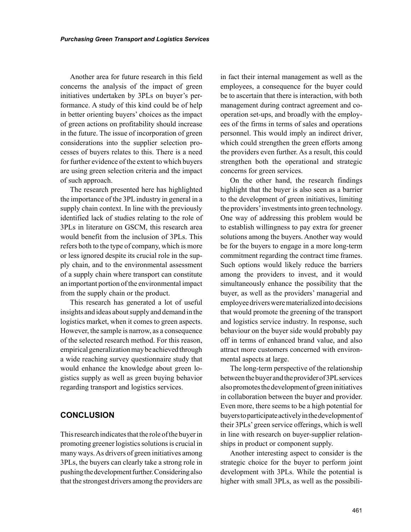Another area for future research in this field concerns the analysis of the impact of green initiatives undertaken by 3PLs on buyer's performance. A study of this kind could be of help in better orienting buyers' choices as the impact of green actions on profitability should increase in the future. The issue of incorporation of green considerations into the supplier selection processes of buyers relates to this. There is a need for further evidence of the extent to which buyers are using green selection criteria and the impact of such approach.

The research presented here has highlighted the importance of the 3PL industry in general in a supply chain context. In line with the previously identified lack of studies relating to the role of 3PLs in literature on GSCM, this research area would benefit from the inclusion of 3PLs. This refers both to the type of company, which is more or less ignored despite its crucial role in the supply chain, and to the environmental assessment of a supply chain where transport can constitute an important portion of the environmental impact from the supply chain or the product.

This research has generated a lot of useful insights and ideas about supply and demand in the logistics market, when it comes to green aspects. However, the sample is narrow, as a consequence of the selected research method. For this reason, empirical generalization may be achieved through a wide reaching survey questionnaire study that would enhance the knowledge about green logistics supply as well as green buying behavior regarding transport and logistics services.

# **CONCLUSION**

This research indicates that the role of the buyer in promoting greener logistics solutions is crucial in many ways. As drivers of green initiatives among 3PLs, the buyers can clearly take a strong role in pushing the development further. Considering also that the strongest drivers among the providers are

in fact their internal management as well as the employees, a consequence for the buyer could be to ascertain that there is interaction, with both management during contract agreement and cooperation set-ups, and broadly with the employees of the firms in terms of sales and operations personnel. This would imply an indirect driver, which could strengthen the green efforts among the providers even further. As a result, this could strengthen both the operational and strategic concerns for green services.

On the other hand, the research findings highlight that the buyer is also seen as a barrier to the development of green initiatives, limiting the providers' investments into green technology. One way of addressing this problem would be to establish willingness to pay extra for greener solutions among the buyers. Another way would be for the buyers to engage in a more long-term commitment regarding the contract time frames. Such options would likely reduce the barriers among the providers to invest, and it would simultaneously enhance the possibility that the buyer, as well as the providers' managerial and employee drivers were materialized into decisions that would promote the greening of the transport and logistics service industry. In response, such behaviour on the buyer side would probably pay off in terms of enhanced brand value, and also attract more customers concerned with environmental aspects at large.

The long-term perspective of the relationship between the buyer and the provider of 3PL services also promotes the development of green initiatives in collaboration between the buyer and provider. Even more, there seems to be a high potential for buyers to participate actively in the development of their 3PLs' green service offerings, which is well in line with research on buyer-supplier relationships in product or component supply.

Another interesting aspect to consider is the strategic choice for the buyer to perform joint development with 3PLs. While the potential is higher with small 3PLs, as well as the possibili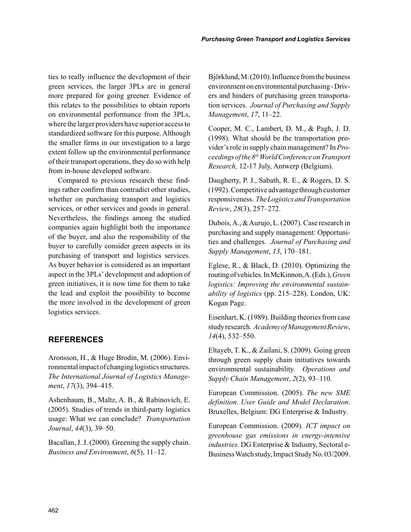ties to really influence the development of their green services, the larger 3PLs are in general more prepared for going greener. Evidence of this relates to the possibilities to obtain reports on environmental performance from the 3PLs, where the larger providers have superior access to standardized software for this purpose. Although the smaller firms in our investigation to a large extent follow up the environmental performance of their transport operations, they do so with help from in-house developed software.

Compared to previous research these findings rather confirm than contradict other studies, whether on purchasing transport and logistics services, or other services and goods in general. Nevertheless, the findings among the studied companies again highlight both the importance of the buyer, and also the responsibility of the buyer to carefully consider green aspects in its purchasing of transport and logistics services. As buyer behavior is considered as an important aspect in the 3PLs' development and adoption of green initiatives, it is now time for them to take the lead and exploit the possibility to become the more involved in the development of green logistics services.

## **REFERENCES**

Aronsson, H., & Huge Brodin, M. (2006). Environmental impact of changing logistics structures. *The International Journal of Logistics Management*, *17*(3), 394–415.

Ashenbaum, B., Maltz, A. B., & Rabinovich, E. (2005). Studies of trends in third-party logistics usage: What we can conclude? *Transportation Journal*, *44*(3), 39–50.

Bacallan, J. J. (2000). Greening the supply chain. *Business and Environment*, *6*(5), 11–12.

Björklund, M. (2010). Influence from the business environment on environmental purchasing - Drivers and hinders of purchasing green transportation services. *Journal of Purchasing and Supply Management*, *17*, 11–22.

Cooper, M. C., Lambert, D. M., & Pagh, J. D. (1998). What should be the transportation provider's role in supply chain management? In *Proceedings of the 8th World Conference on Transport Research,* 12-17 July, Antwerp (Belgium).

Daugherty, P. J., Sabath, R. E., & Rogers, D. S. (1992). Competitive advantage through customer responsiveness. *The Logistics and Transportation Review*, *28*(3), 257–272.

Dubois, A., & Aurujo, L. (2007). Case research in purchasing and supply management: Opportunities and challenges. *Journal of Purchasing and Supply Management*, *13*, 170–181.

Eglese, R., & Black, D. (2010). Optimizing the routing of vehicles. In McKinnon, A. (Eds.), *Green logistics: Improving the environmental sustainability of logistics* (pp. 215–228). London, UK: Kogan Page.

Eisenhart, K. (1989). Building theories from case study research. *Academy of Management Review*, *14*(4), 532–550.

Eltayeb, T. K., & Zailani, S. (2009). Going green through green supply chain initiatives towards environmental sustainability. *Operations and Supply Chain Management*, *2*(2), 93–110.

European Commission. (2005). *The new SME definition. User Guide and Model Declaration*. Bruxelles, Belgium: DG Enterprise & Industry.

European Commission. (2009). *ICT impact on greenhouse gas emissions in energy-intensive industries*. DG Enterprise & Industry, Sectoral e-Business Watch study, Impact Study No. 03/2009.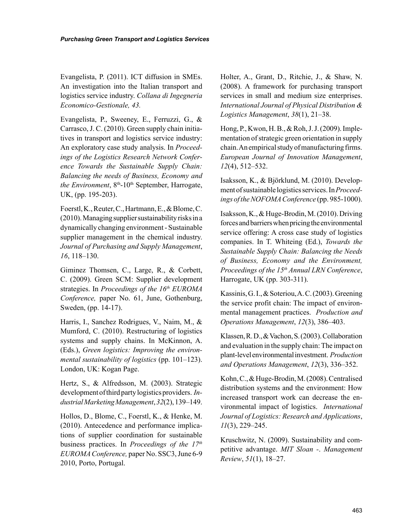Evangelista, P. (2011). ICT diffusion in SMEs. An investigation into the Italian transport and logistics service industry. *Collana di Ingegneria Economico-Gestionale, 43.*

Evangelista, P., Sweeney, E., Ferruzzi, G., & Carrasco, J. C. (2010). Green supply chain initiatives in transport and logistics service industry: An exploratory case study analysis. In *Proceedings of the Logistics Research Network Conference Towards the Sustainable Supply Chain: Balancing the needs of Business, Economy and the Environment*,  $8<sup>th</sup> - 10<sup>th</sup>$  September, Harrogate, UK, (pp. 195-203).

Foerstl, K., Reuter, C., Hartmann, E., & Blome, C. (2010). Managing supplier sustainability risks in a dynamically changing environment - Sustainable supplier management in the chemical industry. *Journal of Purchasing and Supply Management*, *16*, 118–130.

Giminez Thomsen, C., Large, R., & Corbett, C. (2009). Green SCM: Supplier development strategies. In *Proceedings of the 16<sup>th</sup> EUROMA Conference,* paper No. 61, June, Gothenburg, Sweden, (pp. 14-17).

Harris, I., Sanchez Rodrigues, V., Naim, M., & Mumford, C. (2010). Restructuring of logistics systems and supply chains. In McKinnon, A. (Eds.), *Green logistics: Improving the environmental sustainability of logistics* (pp. 101–123). London, UK: Kogan Page.

Hertz, S., & Alfredsson, M. (2003). Strategic development of third party logistics providers. *Industrial Marketing Management*, *32*(2), 139–149.

Hollos, D., Blome, C., Foerstl, K., & Henke, M. (2010). Antecedence and performance implications of supplier coordination for sustainable business practices. In *Proceedings of the 17th EUROMA Conference,* paper No. SSC3, June 6-9 2010, Porto, Portugal.

Holter, A., Grant, D., Ritchie, J., & Shaw, N. (2008). A framework for purchasing transport services in small and medium size enterprises. *International Journal of Physical Distribution & Logistics Management*, *38*(1), 21–38.

Hong, P., Kwon, H. B., & Roh, J. J. (2009). Implementation of strategic green orientation in supply chain. An empirical study of manufacturing firms. *European Journal of Innovation Management*, *12*(4), 512–532.

Isaksson, K., & Björklund, M. (2010). Development of sustainable logistics services. In *Proceedings of the NOFOMA Conference* (pp. 985-1000).

Isaksson, K., & Huge-Brodin, M. (2010). Driving forces and barriers when pricing the environmental service offering: A cross case study of logistics companies. In T. Whiteing (Ed.), *Towards the Sustainable Supply Chain: Balancing the Needs of Business, Economy and the Environment, Proceedings of the 15th Annual LRN Conference*, Harrogate, UK (pp. 303-311).

Kassinis, G. I., & Soteriou, A. C. (2003). Greening the service profit chain: The impact of environmental management practices. *Production and Operations Management*, *12*(3), 386–403.

Klassen, R. D., & Vachon, S. (2003). Collaboration and evaluation in the supply chain: The impact on plant-level environmental investment. *Production and Operations Management*, *12*(3), 336–352.

Kohn, C., & Huge-Brodin, M. (2008). Centralised distribution systems and the environment: How increased transport work can decrease the environmental impact of logistics. *International Journal of Logistics: Research and Applications*, *11*(3), 229–245.

Kruschwitz, N. (2009). Sustainability and competitive advantage. *MIT Sloan -*. *Management Review*, *51*(1), 18–27.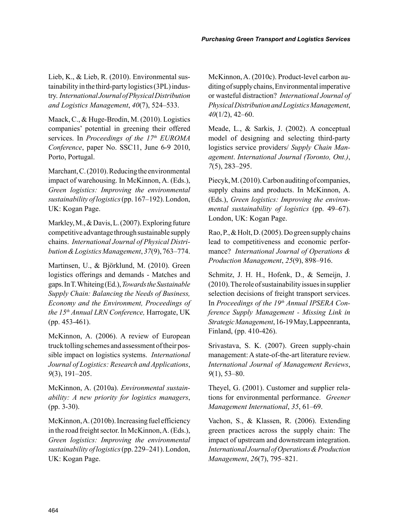Lieb, K., & Lieb, R. (2010). Environmental sustainability in the third-party logistics (3PL) industry. *International Journal of Physical Distribution and Logistics Management*, *40*(7), 524–533.

Maack, C., & Huge-Brodin, M. (2010). Logistics companies' potential in greening their offered services. In *Proceedings of the 17<sup>th</sup> EUROMA Conference*, paper No. SSC11, June 6-9 2010, Porto, Portugal.

Marchant, C. (2010). Reducing the environmental impact of warehousing. In McKinnon, A. (Eds.), *Green logistics: Improving the environmental sustainability of logistics* (pp. 167–192). London, UK: Kogan Page.

Markley, M., & Davis, L. (2007). Exploring future competitive advantage through sustainable supply chains. *International Journal of Physical Distribution & Logistics Management*, *37*(9), 763–774.

Martinsen, U., & Björklund, M. (2010). Green logistics offerings and demands - Matches and gaps. In T. Whiteing (Ed.), *Towards the Sustainable Supply Chain: Balancing the Needs of Business, Economy and the Environment, Proceedings of the 15th Annual LRN Conference,* Harrogate, UK (pp. 453-461).

McKinnon, A. (2006). A review of European truck tolling schemes and assessment of their possible impact on logistics systems. *International Journal of Logistics: Research and Applications*, *9*(3), 191–205.

McKinnon, A. (2010a). *Environmental sustainability: A new priority for logistics managers*, (pp. 3-30).

McKinnon, A. (2010b). Increasing fuel efficiency in the road freight sector. In McKinnon, A. (Eds.), *Green logistics: Improving the environmental sustainability of logistics* (pp. 229–241). London, UK: Kogan Page.

McKinnon, A. (2010c). Product-level carbon auditing of supply chains, Environmental imperative or wasteful distraction? *International Journal of Physical Distribution and Logistics Management*, *40*(1/2), 42–60.

Meade, L., & Sarkis, J. (2002). A conceptual model of designing and selecting third-party logistics service providers/ *Supply Chain Management*. *International Journal (Toronto, Ont.)*, *7*(5), 283–295.

Piecyk, M. (2010). Carbon auditing of companies, supply chains and products. In McKinnon, A. (Eds.), *Green logistics: Improving the environmental sustainability of logistics* (pp. 49–67). London, UK: Kogan Page.

Rao, P., & Holt, D. (2005). Do green supply chains lead to competitiveness and economic performance? *International Journal of Operations & Production Management*, *25*(9), 898–916.

Schmitz, J. H. H., Hofenk, D., & Semeijn, J. (2010). The role of sustainability issues in supplier selection decisions of freight transport services. In *Proceedings of the 19<sup>th</sup> Annual IPSERA Conference Supply Management - Missing Link in Strategic Management*, 16-19 May, Lappeenranta, Finland, (pp. 410-426).

Srivastava, S. K. (2007). Green supply-chain management: A state-of-the-art literature review. *International Journal of Management Reviews*, *9*(1), 53–80.

Theyel, G. (2001). Customer and supplier relations for environmental performance. *Greener Management International*, *35*, 61–69.

Vachon, S., & Klassen, R. (2006). Extending green practices across the supply chain: The impact of upstream and downstream integration. *International Journal of Operations & Production Management*, *26*(7), 795–821.